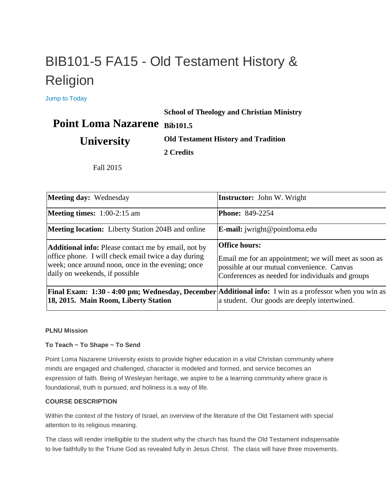# BIB101-5 FA15 - Old Testament History & Religion

[Jump to Today](https://canvas.pointloma.edu/courses/25073)

#### **School of Theology and Christian Ministry**

## Point Loma Nazarene Bib101.5

**University**

**Old Testament History and Tradition**

**2 Credits**

Fall 2015

| <b>Meeting day:</b> Wednesday                                                                                                                                                                            | <b>Instructor:</b> John W. Wright                                                                                                                                              |
|----------------------------------------------------------------------------------------------------------------------------------------------------------------------------------------------------------|--------------------------------------------------------------------------------------------------------------------------------------------------------------------------------|
| <b>Meeting times:</b> $1:00-2:15$ am                                                                                                                                                                     | <b>Phone: 849-2254</b>                                                                                                                                                         |
| <b>Meeting location:</b> Liberty Station 204B and online                                                                                                                                                 | <b>E-mail:</b> jwright@pointloma.edu                                                                                                                                           |
| <b>Additional info:</b> Please contact me by email, not by<br>office phone. I will check email twice a day during<br>week; once around noon, once in the evening; once<br>daily on weekends, if possible | <b>Office hours:</b><br>Email me for an appointment; we will meet as soon as<br>possible at our mutual convenience. Canvas<br>Conferences as needed for individuals and groups |
| Final Exam: 1:30 - 4:00 pm; Wednesday, December Additional info: I win as a professor when you win as<br>18, 2015. Main Room, Liberty Station                                                            | a student. Our goods are deeply intertwined.                                                                                                                                   |

#### **PLNU Mission**

#### **To Teach ~ To Shape ~ To Send**

Point Loma Nazarene University exists to provide higher education in a vital Christian community where minds are engaged and challenged, character is modeled and formed, and service becomes an expression of faith. Being of Wesleyan heritage, we aspire to be a learning community where grace is foundational, truth is pursued, and holiness is a way of life.

#### **COURSE DESCRIPTION**

Within the context of the history of Israel, an overview of the literature of the Old Testament with special attention to its religious meaning.

The class will render intelligible to the student why the church has found the Old Testament indispensable to live faithfully to the Triune God as revealed fully in Jesus Christ. The class will have three movements.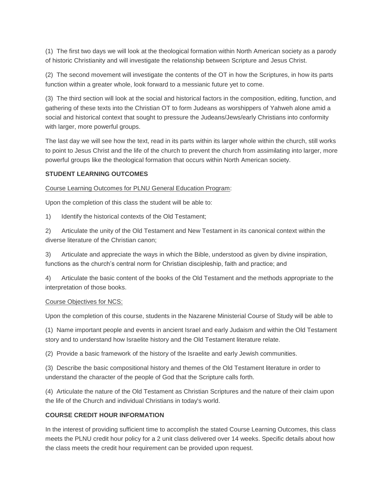(1) The first two days we will look at the theological formation within North American society as a parody of historic Christianity and will investigate the relationship between Scripture and Jesus Christ.

(2) The second movement will investigate the contents of the OT in how the Scriptures, in how its parts function within a greater whole, look forward to a messianic future yet to come.

(3) The third section will look at the social and historical factors in the composition, editing, function, and gathering of these texts into the Christian OT to form Judeans as worshippers of Yahweh alone amid a social and historical context that sought to pressure the Judeans/Jews/early Christians into conformity with larger, more powerful groups.

The last day we will see how the text, read in its parts within its larger whole within the church, still works to point to Jesus Christ and the life of the church to prevent the church from assimilating into larger, more powerful groups like the theological formation that occurs within North American society.

#### **STUDENT LEARNING OUTCOMES**

#### Course Learning Outcomes for PLNU General Education Program:

Upon the completion of this class the student will be able to:

1) Identify the historical contexts of the Old Testament;

2) Articulate the unity of the Old Testament and New Testament in its canonical context within the diverse literature of the Christian canon;

3) Articulate and appreciate the ways in which the Bible, understood as given by divine inspiration, functions as the church's central norm for Christian discipleship, faith and practice; and

4) Articulate the basic content of the books of the Old Testament and the methods appropriate to the interpretation of those books.

#### Course Objectives for NCS:

Upon the completion of this course, students in the Nazarene Ministerial Course of Study will be able to

(1) Name important people and events in ancient Israel and early Judaism and within the Old Testament story and to understand how Israelite history and the Old Testament literature relate.

(2) Provide a basic framework of the history of the Israelite and early Jewish communities.

(3) Describe the basic compositional history and themes of the Old Testament literature in order to understand the character of the people of God that the Scripture calls forth.

(4) Articulate the nature of the Old Testament as Christian Scriptures and the nature of their claim upon the life of the Church and individual Christians in today's world.

#### **COURSE CREDIT HOUR INFORMATION**

In the interest of providing sufficient time to accomplish the stated Course Learning Outcomes, this class meets the PLNU credit hour policy for a 2 unit class delivered over 14 weeks. Specific details about how the class meets the credit hour requirement can be provided upon request.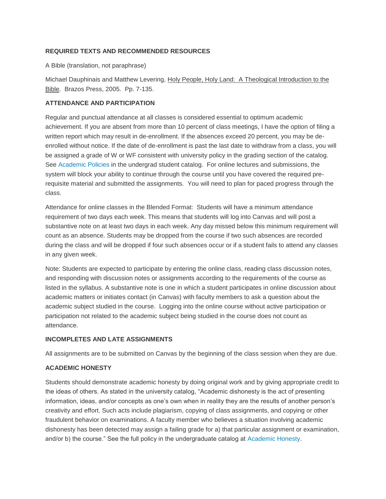#### **REQUIRED TEXTS AND RECOMMENDED RESOURCES**

A Bible (translation, not paraphrase)

Michael Dauphinais and Matthew Levering, Holy People, Holy Land: A Theological Introduction to the Bible. Brazos Press, 2005. Pp. 7-135.

#### **ATTENDANCE AND PARTICIPATION**

Regular and punctual attendance at all classes is considered essential to optimum academic achievement. If you are absent from more than 10 percent of class meetings, I have the option of filing a written report which may result in de-enrollment. If the absences exceed 20 percent, you may be deenrolled without notice. If the date of de-enrollment is past the last date to withdraw from a class, you will be assigned a grade of W or WF consistent with university policy in the grading section of the catalog. See [Academic Policies](http://www.pointloma.edu/experience/academics/catalogs/undergraduate-catalog/point-loma-education/academic-policies) in the undergrad student catalog. For online lectures and submissions, the system will block your ability to continue through the course until you have covered the required prerequisite material and submitted the assignments. You will need to plan for paced progress through the class.

Attendance for online classes in the Blended Format: Students will have a minimum attendance requirement of two days each week. This means that students will log into Canvas and will post a substantive note on at least two days in each week. Any day missed below this minimum requirement will count as an absence. Students may be dropped from the course if two such absences are recorded during the class and will be dropped if four such absences occur or if a student fails to attend any classes in any given week.

Note: Students are expected to participate by entering the online class, reading class discussion notes, and responding with discussion notes or assignments according to the requirements of the course as listed in the syllabus. A substantive note is one in which a student participates in online discussion about academic matters or initiates contact (in Canvas) with faculty members to ask a question about the academic subject studied in the course. Logging into the online course without active participation or participation not related to the academic subject being studied in the course does not count as attendance.

#### **INCOMPLETES AND LATE ASSIGNMENTS**

All assignments are to be submitted on Canvas by the beginning of the class session when they are due.

#### **ACADEMIC HONESTY**

Students should demonstrate academic honesty by doing original work and by giving appropriate credit to the ideas of others. As stated in the university catalog, "Academic dishonesty is the act of presenting information, ideas, and/or concepts as one's own when in reality they are the results of another person's creativity and effort. Such acts include plagiarism, copying of class assignments, and copying or other fraudulent behavior on examinations. A faculty member who believes a situation involving academic dishonesty has been detected may assign a failing grade for a) that particular assignment or examination, and/or b) the course." See the full policy in the undergraduate catalog at [Academic Honesty.](https://mail.pointloma.edu/owa/redir.aspx?C=w_i3YHj3GEmQt4Gp3SaC8vNFeop3VM8I8c9ryS6qqkyvH44wFGMV7t4huTZBdI1EMgliJwMas_o.&URL=http%3a%2f%2fcatalog.pointloma.edu%2fcontent.php%3fcatoid%3d8%26navoid%3d864%2523Academic_Honesty)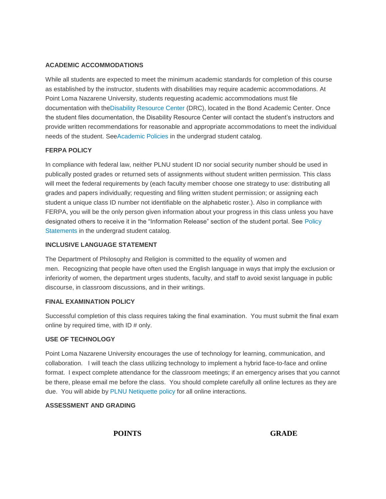#### **ACADEMIC ACCOMMODATIONS**

While all students are expected to meet the minimum academic standards for completion of this course as established by the instructor, students with disabilities may require academic accommodations. At Point Loma Nazarene University, students requesting academic accommodations must file documentation with th[eDisability Resource Center](http://www.pointloma.edu/experience/offices/administrative-offices/academic-advising-office/disability-resource-center) (DRC), located in the Bond Academic Center. Once the student files documentation, the Disability Resource Center will contact the student's instructors and provide written recommendations for reasonable and appropriate accommodations to meet the individual needs of the student. Se[eAcademic Policies](http://www.pointloma.edu/experience/academics/catalogs/undergraduate-catalog/point-loma-education/academic-policies) in the undergrad student catalog.

#### **FERPA POLICY**

In compliance with federal law, neither PLNU student ID nor social security number should be used in publically posted grades or returned sets of assignments without student written permission. This class will meet the federal requirements by (each faculty member choose one strategy to use: distributing all grades and papers individually; requesting and filing written student permission; or assigning each student a unique class ID number not identifiable on the alphabetic roster.). Also in compliance with FERPA, you will be the only person given information about your progress in this class unless you have designated others to receive it in the "Information Release" section of the student portal. See [Policy](http://www.pointloma.edu/experience/academics/catalogs/undergraduate-catalog/policy-statements)  [Statements](http://www.pointloma.edu/experience/academics/catalogs/undergraduate-catalog/policy-statements) in the undergrad student catalog.

#### **INCLUSIVE LANGUAGE STATEMENT**

The Department of Philosophy and Religion is committed to the equality of women and men. Recognizing that people have often used the English language in ways that imply the exclusion or inferiority of women, the department urges students, faculty, and staff to avoid sexist language in public discourse, in classroom discussions, and in their writings.

#### **FINAL EXAMINATION POLICY**

Successful completion of this class requires taking the final examination. You must submit the final exam online by required time, with ID # only.

#### **USE OF TECHNOLOGY**

Point Loma Nazarene University encourages the use of technology for learning, communication, and collaboration. I will teach the class utilizing technology to implement a hybrid face-to-face and online format. I expect complete attendance for the classroom meetings; if an emergency arises that you cannot be there, please email me before the class. You should complete carefully all online lectures as they are due. You will abide by [PLNU Netiquette policy](http://www.pointloma.edu/experience/community/student-life/student-handbook/student-policies-regulations/student-conduct-policies/community-living/computer-use-policy) for all online interactions.

#### **ASSESSMENT AND GRADING**

**POINTS GRADE**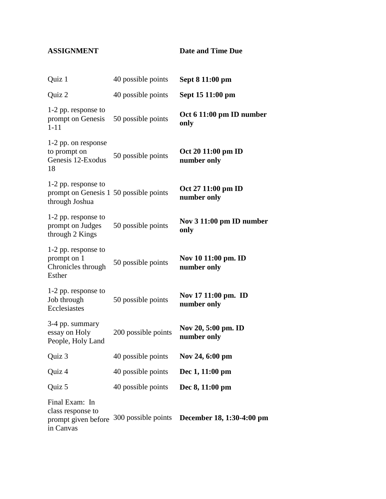### **ASSIGNMENT Date and Time Due**

| Quiz 1                                                                          | 40 possible points  | Sept 8 11:00 pm                    |
|---------------------------------------------------------------------------------|---------------------|------------------------------------|
| Quiz 2                                                                          | 40 possible points  | Sept 15 11:00 pm                   |
| 1-2 pp. response to<br>prompt on Genesis<br>$1 - 11$                            | 50 possible points  | Oct 6 11:00 pm ID number<br>only   |
| 1-2 pp. on response<br>to prompt on<br>Genesis 12-Exodus<br>18                  | 50 possible points  | Oct 20 11:00 pm ID<br>number only  |
| 1-2 pp. response to<br>prompt on Genesis 1 50 possible points<br>through Joshua |                     | Oct 27 11:00 pm ID<br>number only  |
| 1-2 pp. response to<br>prompt on Judges<br>through 2 Kings                      | 50 possible points  | Nov 3 11:00 pm ID number<br>only   |
| 1-2 pp. response to<br>prompt on 1<br>Chronicles through<br>Esther              | 50 possible points  | Nov 10 11:00 pm. ID<br>number only |
| 1-2 pp. response to<br>Job through<br>Ecclesiastes                              | 50 possible points  | Nov 17 11:00 pm. ID<br>number only |
| 3-4 pp. summary<br>essay on Holy<br>People, Holy Land                           | 200 possible points | Nov 20, 5:00 pm. ID<br>number only |
| Quiz 3                                                                          | 40 possible points  | Nov 24, 6:00 pm                    |
| Quiz 4                                                                          | 40 possible points  | Dec 1, 11:00 pm                    |
| Quiz 5                                                                          | 40 possible points  | Dec 8, 11:00 pm                    |
| Final Exam: In<br>class response to<br>prompt given before<br>in Canvas         | 300 possible points | December 18, 1:30-4:00 pm          |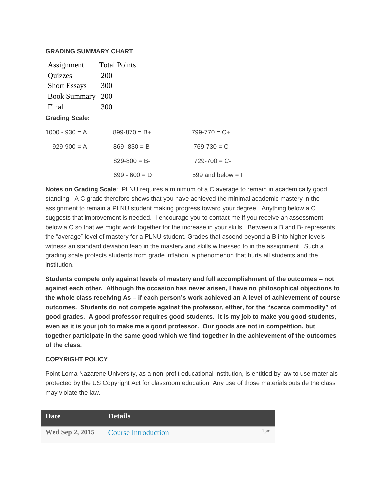#### **GRADING SUMMARY CHART**

| Assignment            | <b>Total Points</b> |                     |
|-----------------------|---------------------|---------------------|
| Quizzes               | <b>200</b>          |                     |
| <b>Short Essays</b>   | 300                 |                     |
| <b>Book Summary</b>   | 200                 |                     |
| Final                 | 300                 |                     |
| <b>Grading Scale:</b> |                     |                     |
| $1000 - 930 = A$      | $899 - 870 = B +$   | $799 - 770 = C +$   |
| $929-900 = A$         | $869 - 830 = B$     | $769 - 730 = C$     |
|                       | $829 - 800 = B$     | $729-700 = C$       |
|                       | $699 - 600 = D$     | 599 and below $=$ F |

**Notes on Grading Scale**: PLNU requires a minimum of a C average to remain in academically good standing. A C grade therefore shows that you have achieved the minimal academic mastery in the assignment to remain a PLNU student making progress toward your degree. Anything below a C suggests that improvement is needed. I encourage you to contact me if you receive an assessment below a C so that we might work together for the increase in your skills. Between a B and B- represents the "average" level of mastery for a PLNU student. Grades that ascend beyond a B into higher levels witness an standard deviation leap in the mastery and skills witnessed to in the assignment. Such a grading scale protects students from grade inflation, a phenomenon that hurts all students and the institution.

**Students compete only against levels of mastery and full accomplishment of the outcomes – not against each other. Although the occasion has never arisen, I have no philosophical objections to the whole class receiving As – if each person's work achieved an A level of achievement of course outcomes. Students do not compete against the professor, either, for the "scarce commodity" of good grades. A good professor requires good students. It is my job to make you good students, even as it is your job to make me a good professor. Our goods are not in competition, but together participate in the same good which we find together in the achievement of the outcomes of the class.**

#### **COPYRIGHT POLICY**

Point Loma Nazarene University, as a non-profit educational institution, is entitled by law to use materials protected by the US Copyright Act for classroom education. Any use of those materials outside the class may violate the law.

| Date                   | <b>Details</b>             |                 |
|------------------------|----------------------------|-----------------|
| <b>Wed Sep 2, 2015</b> | <b>Course Introduction</b> | 1 <sub>pm</sub> |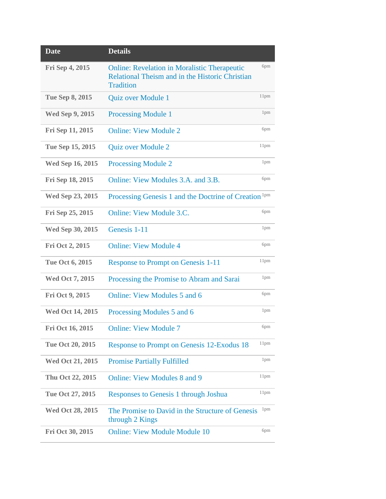| <b>Date</b>             | <b>Details</b>                                                                                                             |                  |
|-------------------------|----------------------------------------------------------------------------------------------------------------------------|------------------|
| Fri Sep 4, 2015         | <b>Online: Revelation in Moralistic Therapeutic</b><br>Relational Theism and in the Historic Christian<br><b>Tradition</b> | 6pm              |
| <b>Tue Sep 8, 2015</b>  | Quiz over Module 1                                                                                                         | 11pm             |
| <b>Wed Sep 9, 2015</b>  | <b>Processing Module 1</b>                                                                                                 | 1pm              |
| Fri Sep 11, 2015        | <b>Online: View Module 2</b>                                                                                               | 6pm              |
| Tue Sep 15, 2015        | Quiz over Module 2                                                                                                         | 11pm             |
| Wed Sep 16, 2015        | <b>Processing Module 2</b>                                                                                                 | 1pm              |
| Fri Sep 18, 2015        | Online: View Modules 3.A. and 3.B.                                                                                         | 6pm              |
| Wed Sep 23, 2015        | Processing Genesis 1 and the Doctrine of Creation <sup>1pm</sup>                                                           |                  |
| Fri Sep 25, 2015        | <b>Online: View Module 3.C.</b>                                                                                            | 6pm              |
| Wed Sep 30, 2015        | Genesis 1-11                                                                                                               | 1pm              |
| Fri Oct 2, 2015         | <b>Online: View Module 4</b>                                                                                               | 6pm              |
| Tue Oct 6, 2015         | <b>Response to Prompt on Genesis 1-11</b>                                                                                  | 11pm             |
| <b>Wed Oct 7, 2015</b>  | Processing the Promise to Abram and Sarai                                                                                  | 1pm              |
| Fri Oct 9, 2015         | <b>Online: View Modules 5 and 6</b>                                                                                        | 6pm              |
| <b>Wed Oct 14, 2015</b> | Processing Modules 5 and 6                                                                                                 | 1pm              |
| Fri Oct 16, 2015        | <b>Online: View Module 7</b>                                                                                               | 6pm              |
| Tue Oct 20, 2015        | Response to Prompt on Genesis 12-Exodus 18                                                                                 | 11 <sub>pm</sub> |
| <b>Wed Oct 21, 2015</b> | <b>Promise Partially Fulfilled</b>                                                                                         | 1pm              |
| Thu Oct 22, 2015        | <b>Online: View Modules 8 and 9</b>                                                                                        | 11 <sub>pm</sub> |
| Tue Oct 27, 2015        | Responses to Genesis 1 through Joshua                                                                                      | 11 <sub>pm</sub> |
| Wed Oct 28, 2015        | The Promise to David in the Structure of Genesis<br>through 2 Kings                                                        | 1pm              |
| Fri Oct 30, 2015        | <b>Online: View Module Module 10</b>                                                                                       | 6pm              |
|                         |                                                                                                                            |                  |